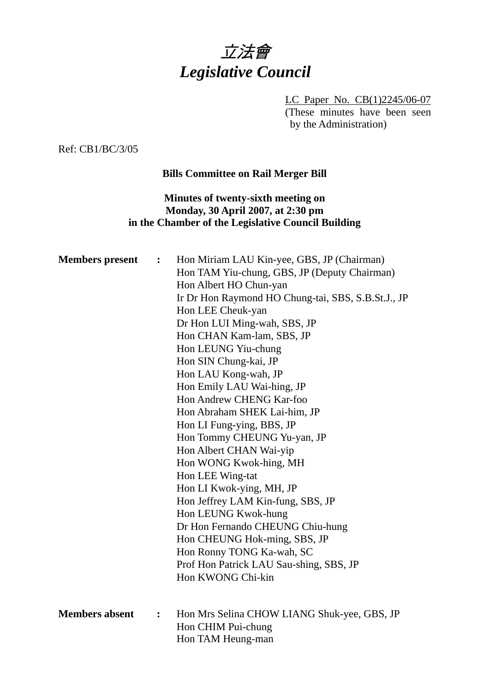

LC Paper No. CB(1)2245/06-07 (These minutes have been seen by the Administration)

Ref: CB1/BC/3/05

# **Bills Committee on Rail Merger Bill**

# **Minutes of twenty-sixth meeting on Monday, 30 April 2007, at 2:30 pm in the Chamber of the Legislative Council Building**

| <b>Members</b> present | $\overset{\bullet}{\bullet}$ | Hon Miriam LAU Kin-yee, GBS, JP (Chairman)<br>Hon TAM Yiu-chung, GBS, JP (Deputy Chairman)<br>Hon Albert HO Chun-yan<br>Ir Dr Hon Raymond HO Chung-tai, SBS, S.B.St.J., JP<br>Hon LEE Cheuk-yan<br>Dr Hon LUI Ming-wah, SBS, JP<br>Hon CHAN Kam-lam, SBS, JP<br>Hon LEUNG Yiu-chung<br>Hon SIN Chung-kai, JP<br>Hon LAU Kong-wah, JP<br>Hon Emily LAU Wai-hing, JP<br>Hon Andrew CHENG Kar-foo<br>Hon Abraham SHEK Lai-him, JP<br>Hon LI Fung-ying, BBS, JP<br>Hon Tommy CHEUNG Yu-yan, JP<br>Hon Albert CHAN Wai-yip<br>Hon WONG Kwok-hing, MH<br>Hon LEE Wing-tat<br>Hon LI Kwok-ying, MH, JP<br>Hon Jeffrey LAM Kin-fung, SBS, JP<br>Hon LEUNG Kwok-hung<br>Dr Hon Fernando CHEUNG Chiu-hung<br>Hon CHEUNG Hok-ming, SBS, JP<br>Hon Ronny TONG Ka-wah, SC<br>Prof Hon Patrick LAU Sau-shing, SBS, JP<br>Hon KWONG Chi-kin |
|------------------------|------------------------------|------------------------------------------------------------------------------------------------------------------------------------------------------------------------------------------------------------------------------------------------------------------------------------------------------------------------------------------------------------------------------------------------------------------------------------------------------------------------------------------------------------------------------------------------------------------------------------------------------------------------------------------------------------------------------------------------------------------------------------------------------------------------------------------------------------------------------|
| <b>Members absent</b>  | $\ddot{\cdot}$               | Hon Mrs Selina CHOW LIANG Shuk-yee, GBS, JP<br>Hon CHIM Pui-chung<br>Hon TAM Heung-man                                                                                                                                                                                                                                                                                                                                                                                                                                                                                                                                                                                                                                                                                                                                       |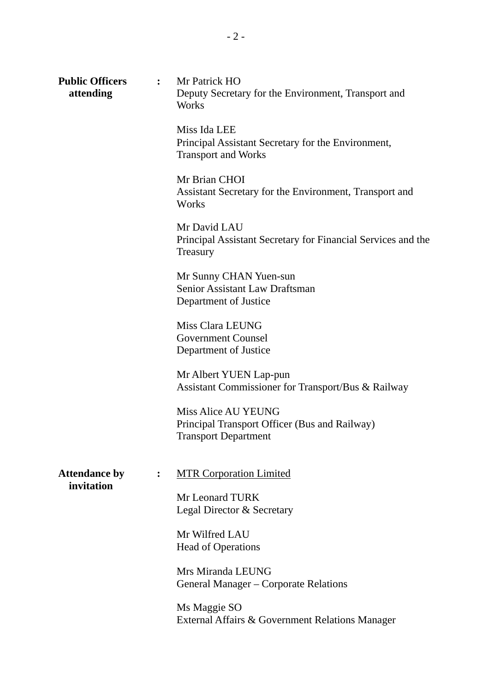| <b>Public Officers</b><br>attending | $\ddot{\cdot}$ | Mr Patrick HO<br>Deputy Secretary for the Environment, Transport and<br>Works                              |  |  |
|-------------------------------------|----------------|------------------------------------------------------------------------------------------------------------|--|--|
|                                     |                | Miss Ida LEE<br>Principal Assistant Secretary for the Environment,<br><b>Transport and Works</b>           |  |  |
|                                     |                | Mr Brian CHOI<br>Assistant Secretary for the Environment, Transport and<br>Works                           |  |  |
|                                     |                | Mr David LAU<br>Principal Assistant Secretary for Financial Services and the<br>Treasury                   |  |  |
|                                     |                | Mr Sunny CHAN Yuen-sun<br>Senior Assistant Law Draftsman<br>Department of Justice                          |  |  |
|                                     |                | Miss Clara LEUNG<br><b>Government Counsel</b><br>Department of Justice                                     |  |  |
|                                     |                | Mr Albert YUEN Lap-pun<br>Assistant Commissioner for Transport/Bus & Railway                               |  |  |
|                                     |                | <b>Miss Alice AU YEUNG</b><br>Principal Transport Officer (Bus and Railway)<br><b>Transport Department</b> |  |  |
| <b>Attendance by</b><br>invitation  | $\ddot{\cdot}$ | <b>MTR Corporation Limited</b>                                                                             |  |  |
|                                     |                | Mr Leonard TURK<br>Legal Director & Secretary                                                              |  |  |
|                                     |                | Mr Wilfred LAU<br><b>Head of Operations</b>                                                                |  |  |
|                                     |                | Mrs Miranda LEUNG<br>General Manager – Corporate Relations                                                 |  |  |
|                                     |                | Ms Maggie SO<br>External Affairs & Government Relations Manager                                            |  |  |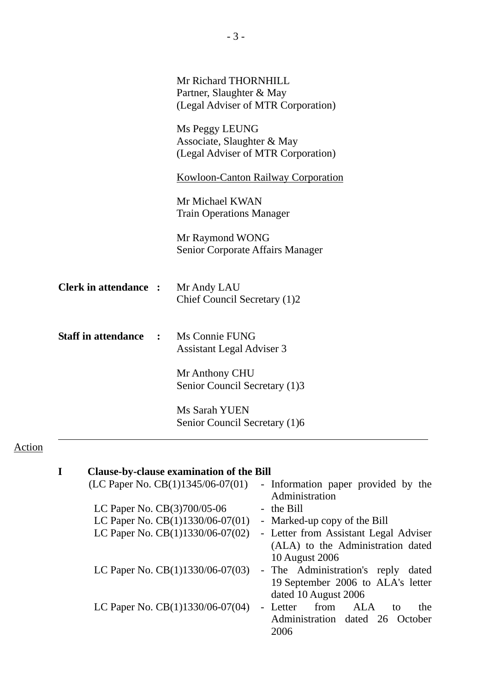|                              |              | Mr Richard THORNHILL<br>Partner, Slaughter & May<br>(Legal Adviser of MTR Corporation) |
|------------------------------|--------------|----------------------------------------------------------------------------------------|
|                              |              | Ms Peggy LEUNG<br>Associate, Slaughter & May<br>(Legal Adviser of MTR Corporation)     |
|                              |              | <b>Kowloon-Canton Railway Corporation</b>                                              |
|                              |              | Mr Michael KWAN<br><b>Train Operations Manager</b>                                     |
|                              |              | Mr Raymond WONG<br>Senior Corporate Affairs Manager                                    |
| <b>Clerk in attendance :</b> |              | Mr Andy LAU<br>Chief Council Secretary (1)2                                            |
| <b>Staff in attendance</b>   | $\mathbf{r}$ | Ms Connie FUNG<br><b>Assistant Legal Adviser 3</b>                                     |
|                              |              | Mr Anthony CHU<br>Senior Council Secretary (1)3                                        |
|                              |              | Ms Sarah YUEN<br>Senior Council Secretary (1)6                                         |

# Action

| <b>Clause-by-clause examination of the Bill</b> |                                                       |
|-------------------------------------------------|-------------------------------------------------------|
| (LC Paper No. CB(1)1345/06-07(01)               | - Information paper provided by the<br>Administration |
| LC Paper No. CB(3)700/05-06                     | - the Bill                                            |
| LC Paper No. $CB(1)1330/06-07(01)$              | - Marked-up copy of the Bill                          |
| LC Paper No. $CB(1)1330/06-07(02)$              | - Letter from Assistant Legal Adviser                 |
|                                                 | (ALA) to the Administration dated                     |
|                                                 | 10 August 2006                                        |
| LC Paper No. $CB(1)1330/06-07(03)$              | - The Administration's reply<br>dated                 |
|                                                 | 19 September 2006 to ALA's letter                     |
|                                                 | dated 10 August 2006                                  |
| LC Paper No. $CB(1)1330/06-07(04)$              | - Letter from ALA<br>the<br>to                        |
|                                                 | Administration dated 26 October                       |
|                                                 | 2006                                                  |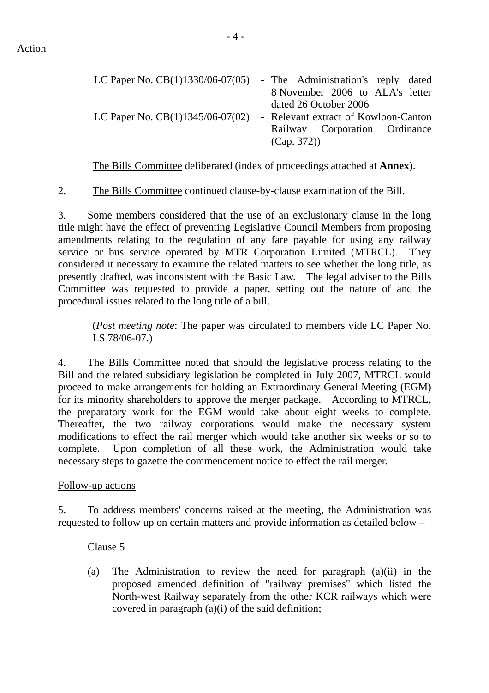| LC Paper No. $CB(1)1330/06-07(05)$ - The Administration's reply dated |                                      |                       |  |  |                                 |  |
|-----------------------------------------------------------------------|--------------------------------------|-----------------------|--|--|---------------------------------|--|
|                                                                       |                                      |                       |  |  | 8 November 2006 to ALA's letter |  |
|                                                                       |                                      | dated 26 October 2006 |  |  |                                 |  |
| LC Paper No. $CB(1)1345/06-07(02)$                                    | - Relevant extract of Kowloon-Canton |                       |  |  |                                 |  |
|                                                                       |                                      |                       |  |  | Railway Corporation Ordinance   |  |
|                                                                       |                                      | (Cap. 372)            |  |  |                                 |  |

The Bills Committee deliberated (index of proceedings attached at **Annex**).

2. The Bills Committee continued clause-by-clause examination of the Bill.

3. Some members considered that the use of an exclusionary clause in the long title might have the effect of preventing Legislative Council Members from proposing amendments relating to the regulation of any fare payable for using any railway service or bus service operated by MTR Corporation Limited (MTRCL). They considered it necessary to examine the related matters to see whether the long title, as presently drafted, was inconsistent with the Basic Law. The legal adviser to the Bills Committee was requested to provide a paper, setting out the nature of and the procedural issues related to the long title of a bill.

(*Post meeting note*: The paper was circulated to members vide LC Paper No. LS 78/06-07.)

4. The Bills Committee noted that should the legislative process relating to the Bill and the related subsidiary legislation be completed in July 2007, MTRCL would proceed to make arrangements for holding an Extraordinary General Meeting (EGM) for its minority shareholders to approve the merger package. According to MTRCL, the preparatory work for the EGM would take about eight weeks to complete. Thereafter, the two railway corporations would make the necessary system modifications to effect the rail merger which would take another six weeks or so to complete. Upon completion of all these work, the Administration would take necessary steps to gazette the commencement notice to effect the rail merger.

#### Follow-up actions

5. To address members' concerns raised at the meeting, the Administration was requested to follow up on certain matters and provide information as detailed below –

Clause 5

(a) The Administration to review the need for paragraph (a)(ii) in the proposed amended definition of "railway premises" which listed the North-west Railway separately from the other KCR railways which were covered in paragraph (a)(i) of the said definition;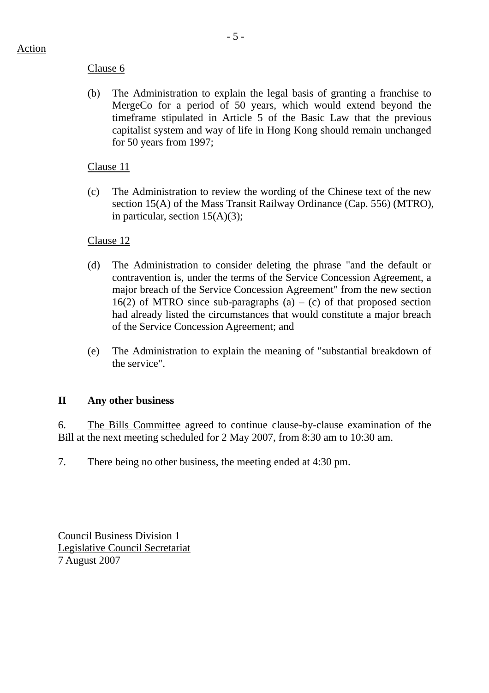# Clause 6

(b) The Administration to explain the legal basis of granting a franchise to MergeCo for a period of 50 years, which would extend beyond the timeframe stipulated in Article 5 of the Basic Law that the previous capitalist system and way of life in Hong Kong should remain unchanged for 50 years from 1997;

# Clause 11

(c) The Administration to review the wording of the Chinese text of the new section 15(A) of the Mass Transit Railway Ordinance (Cap. 556) (MTRO), in particular, section  $15(A)(3)$ ;

# Clause 12

- (d) The Administration to consider deleting the phrase "and the default or contravention is, under the terms of the Service Concession Agreement, a major breach of the Service Concession Agreement" from the new section 16(2) of MTRO since sub-paragraphs (a) – (c) of that proposed section had already listed the circumstances that would constitute a major breach of the Service Concession Agreement; and
- (e) The Administration to explain the meaning of "substantial breakdown of the service".

# **II Any other business**

6. The Bills Committee agreed to continue clause-by-clause examination of the Bill at the next meeting scheduled for 2 May 2007, from 8:30 am to 10:30 am.

7. There being no other business, the meeting ended at 4:30 pm.

Council Business Division 1 Legislative Council Secretariat 7 August 2007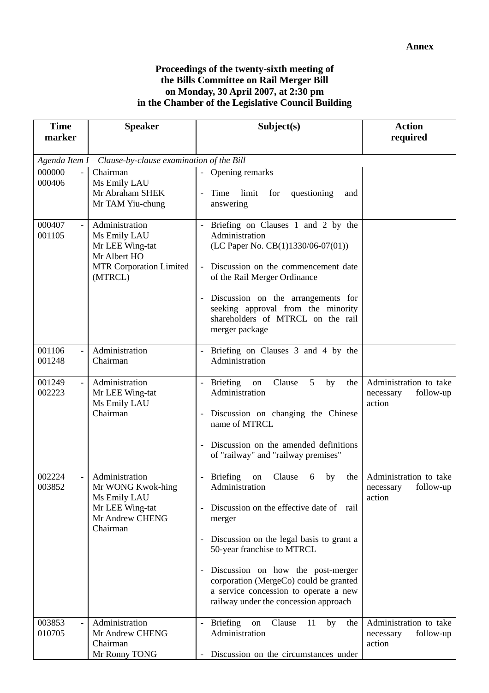#### **Proceedings of the twenty-sixth meeting of the Bills Committee on Rail Merger Bill on Monday, 30 April 2007, at 2:30 pm in the Chamber of the Legislative Council Building**

| <b>Time</b>                                  | <b>Speaker</b>                                                                                                 | Subject(s)                                                                                                                                                                                                                                                                                                                                                                                                            | <b>Action</b>                                              |
|----------------------------------------------|----------------------------------------------------------------------------------------------------------------|-----------------------------------------------------------------------------------------------------------------------------------------------------------------------------------------------------------------------------------------------------------------------------------------------------------------------------------------------------------------------------------------------------------------------|------------------------------------------------------------|
| marker                                       |                                                                                                                |                                                                                                                                                                                                                                                                                                                                                                                                                       | required                                                   |
|                                              | Agenda Item $I - Claude$ -by-clause examination of the Bill                                                    |                                                                                                                                                                                                                                                                                                                                                                                                                       |                                                            |
| 000000<br>$\overline{a}$<br>000406           | Chairman<br>Ms Emily LAU<br>Mr Abraham SHEK<br>Mr TAM Yiu-chung                                                | - Opening remarks<br>Time limit for<br>questioning<br>$\equiv$<br>and<br>answering                                                                                                                                                                                                                                                                                                                                    |                                                            |
| 000407<br>001105                             | Administration<br>Ms Emily LAU<br>Mr LEE Wing-tat<br>Mr Albert HO<br><b>MTR Corporation Limited</b><br>(MTRCL) | Briefing on Clauses 1 and 2 by the<br>$\mathbb{L}^{\mathbb{N}}$<br>Administration<br>(LC Paper No. $CB(1)1330/06-07(01))$<br>Discussion on the commencement date<br>of the Rail Merger Ordinance<br>Discussion on the arrangements for<br>$\overline{\phantom{a}}$<br>seeking approval from the minority<br>shareholders of MTRCL on the rail<br>merger package                                                       |                                                            |
| 001106<br>$\blacksquare$<br>001248           | Administration<br>Chairman                                                                                     | Briefing on Clauses 3 and 4 by the<br>Administration                                                                                                                                                                                                                                                                                                                                                                  |                                                            |
| 001249<br>$\overline{\phantom{a}}$<br>002223 | Administration<br>Mr LEE Wing-tat<br>Ms Emily LAU<br>Chairman                                                  | <b>Briefing</b><br>Clause<br>5<br>by<br>the<br>on<br>$\overline{\phantom{a}}$<br>Administration<br>Discussion on changing the Chinese<br>name of MTRCL<br>Discussion on the amended definitions<br>of "railway" and "railway premises"                                                                                                                                                                                | Administration to take<br>follow-up<br>necessary<br>action |
| 002224<br>003852                             | Administration<br>Mr WONG Kwok-hing<br>Ms Emily LAU<br>Mr LEE Wing-tat<br>Mr Andrew CHENG<br>Chairman          | Briefing<br>Clause<br>$\overline{\phantom{a}}$<br>on<br>by<br>the<br>6<br>Administration<br>Discussion on the effective date of rail<br>merger<br>Discussion on the legal basis to grant a<br>$\overline{\phantom{a}}$<br>50-year franchise to MTRCL<br>Discussion on how the post-merger<br>corporation (MergeCo) could be granted<br>a service concession to operate a new<br>railway under the concession approach | Administration to take<br>necessary follow-up<br>action    |
| 003853<br>010705                             | Administration<br>Mr Andrew CHENG<br>Chairman<br>Mr Ronny TONG                                                 | <b>Briefing</b><br>by<br>the<br>Clause<br>11<br>on<br>Administration<br>Discussion on the circumstances under                                                                                                                                                                                                                                                                                                         | Administration to take<br>follow-up<br>necessary<br>action |